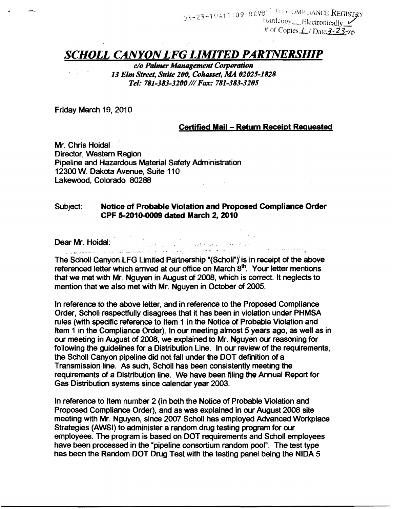$03-23-10A11:09$  RCVD<sup>3</sup> Register COMPLIANCE Registery  $Hardcopy$  Electronically # of *Copies L*/ *Date* 3-23-70

## **SCHOLL CANYON LFG LIMITED PARTNERSHIP**

 $c$ /o Palmer Management Corporation 13 Elm Street, Suite 200, Cohasset, MA 02025-1828 *Tel: 781-383-32001/1 Fax: 781-383-3205* 

Friday March 19, 2010

## Certified Mail - Return Receipt Requested

المستردد والمعارفة فالمتملم الحلوان والزوار

Mr. Chris Hoidal Director, Western Region Pipeline and Hazardous Material Safety Administration 12300 W. Dakota Avenue, Suite 110 Lakewood, Colorado 80288

## Subject: Notice of Probable Violation and Proposed Compliance Order CPF 5-2010-0009 dated March 2, 2010

Dear Mr. Hoidal:<br>Experimental proposes the contract of the contract of the contract of the contract of the contract of the contract of the contract of the contract of the contract of the contract of the contract of the con

The Scholl Canyon LFG Limited Partnership "(Scholl") is in receipt of the above referenced letter which arrived at our office on March  $8<sup>th</sup>$ . Your letter mentions that we met with Mr. Nguyen in August of 2008, which is correct. It neglects to mention that we also met with Mr. Nguyen in October of 2005.

In reference to the above letter, and in reference to the Proposed Compliance Order, Scholl respectfully disagrees that it has been in violation under PHMSA rules (with specific reference to Item 1 in the Notice of Probable Violation and Item 1 in the Compliance Order). In our meeting almost 5 years ago, as well as in our meeting in August of 2008, we explained to Mr. Nguyen our reasoning for following the guidelines for a Distribution Line. In our review of the requirements, the Scholl Canyon pipeline did not fall under the DOT definition of a Transmission line. As such, Scholl has been consistently meeting the requirements of a Distribution line. We have been filing the Annual Report for Gas Distribution systems since calendar year 2003.

In reference to Item number 2 (in both the Notice of Probable Violation and Proposed Compliance Order), and as was explained in our August 2008 site meeting with Mr. Nguyen, since 2007 Scholl has employed Advanced Workplace Strategies (AWSI) to administer a random drug testing program for our employees. The program is based on DOT requirements and Scholl employees have been processed in the "pipeline consortium random pool". The test type has been the Random DOT Drug Test with the testing panel being the NIDA 5